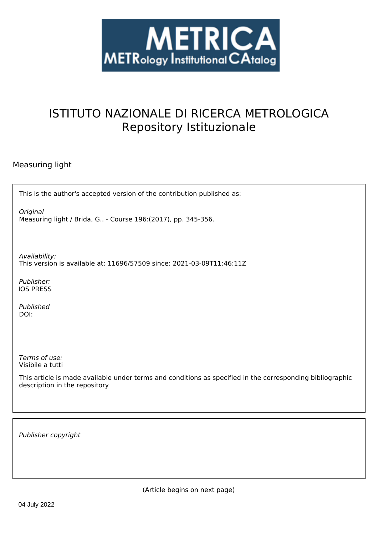

# ISTITUTO NAZIONALE DI RICERCA METROLOGICA Repository Istituzionale

# Measuring light

| This is the author's accepted version of the contribution published as:   |
|---------------------------------------------------------------------------|
| Original<br>Measuring light / Brida, G - Course 196: (2017), pp. 345-356. |

*Availability:* This version is available at: 11696/57509 since: 2021-03-09T11:46:11Z

*Publisher:* IOS PRESS

*Published* DOI:

*Terms of use:* Visibile a tutti

This article is made available under terms and conditions as specified in the corresponding bibliographic description in the repository

*Publisher copyright*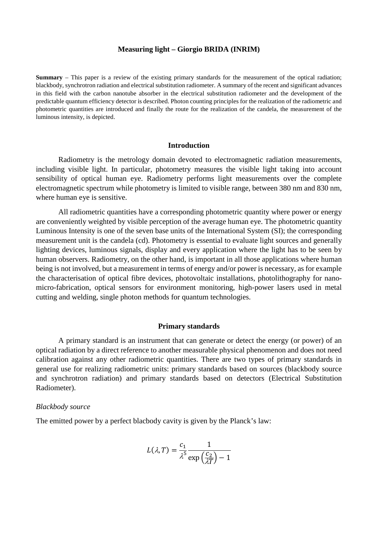#### **Measuring light – Giorgio BRIDA (INRIM)**

**Summary** – This paper is a review of the existing primary standards for the measurement of the optical radiation; blackbody, synchrotron radiation and electrical substitution radiometer. A summary of the recent and significant advances in this field with the carbon nanotube absorber in the electrical substitution radiometer and the development of the predictable quantum efficiency detector is described. Photon counting principles for the realization of the radiometric and photometric quantities are introduced and finally the route for the realization of the candela, the measurement of the luminous intensity, is depicted.

#### **Introduction**

Radiometry is the metrology domain devoted to electromagnetic radiation measurements, including visible light. In particular, photometry measures the visible light taking into account sensibility of optical human eye. Radiometry performs light measurements over the complete electromagnetic spectrum while photometry is limited to visible range, between 380 nm and 830 nm, where human eye is sensitive.

All radiometric quantities have a corresponding photometric quantity where power or energy are conveniently weighted by visible perception of the average human eye. The photometric quantity Luminous Intensity is one of the seven base units of the International System (SI); the corresponding measurement unit is the candela (cd). Photometry is essential to evaluate light sources and generally lighting devices, luminous signals, display and every application where the light has to be seen by human observers. Radiometry, on the other hand, is important in all those applications where human being is not involved, but a measurement in terms of energy and/or power is necessary, as for example the characterisation of optical fibre devices, photovoltaic installations, photolithography for nanomicro-fabrication, optical sensors for environment monitoring, high-power lasers used in metal cutting and welding, single photon methods for quantum technologies.

#### **Primary standards**

A primary standard is an instrument that can generate or detect the energy (or power) of an optical radiation by a direct reference to another measurable physical phenomenon and does not need calibration against any other radiometric quantities. There are two types of primary standards in general use for realizing radiometric units: primary standards based on sources (blackbody source and synchrotron radiation) and primary standards based on detectors (Electrical Substitution Radiometer).

#### *Blackbody source*

The emitted power by a perfect blacbody cavity is given by the Planck's law:

$$
L(\lambda, T) = \frac{c_1}{\lambda^5} \frac{1}{\exp\left(\frac{c_2}{\lambda T}\right) - 1}
$$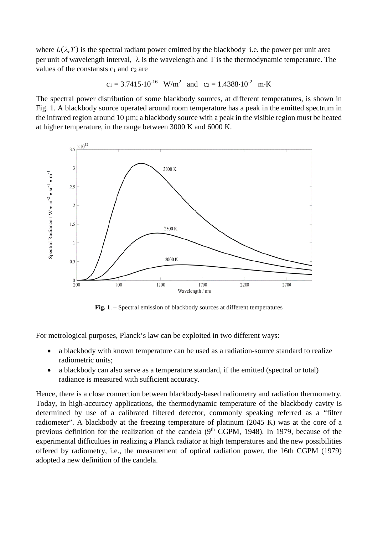where  $L(\lambda, T)$  is the spectral radiant power emitted by the blackbody i.e. the power per unit area per unit of wavelength interval,  $\lambda$  is the wavelength and T is the thermodynamic temperature. The values of the constansts  $c_1$  and  $c_2$  are

$$
c_1 = 3.7415 \cdot 10^{-16}
$$
 W/m<sup>2</sup> and  $c_2 = 1.4388 \cdot 10^{-2}$  m·K

The spectral power distribution of some blackbody sources, at different temperatures, is shown in Fig. 1. A blackbody source operated around room temperature has a peak in the emitted spectrum in the infrared region around 10 µm; a blackbody source with a peak in the visible region must be heated at higher temperature, in the range between 3000 K and 6000 K.



**Fig. 1**. – Spectral emission of blackbody sources at different temperatures

For metrological purposes, Planck's law can be exploited in two different ways:

- a blackbody with known temperature can be used as a radiation-source standard to realize radiometric units;
- a blackbody can also serve as a temperature standard, if the emitted (spectral or total) radiance is measured with sufficient accuracy.

Hence, there is a close connection between blackbody-based radiometry and radiation thermometry. Today, in high-accuracy applications, the thermodynamic temperature of the blackbody cavity is determined by use of a calibrated filtered detector, commonly speaking referred as a "filter radiometer". A blackbody at the freezing temperature of platinum (2045 K) was at the core of a previous definition for the realization of the candela ( $9<sup>th</sup>$  CGPM, 1948). In 1979, because of the experimental difficulties in realizing a Planck radiator at high temperatures and the new possibilities offered by radiometry, i.e., the measurement of optical radiation power, the 16th CGPM (1979) adopted a new definition of the candela.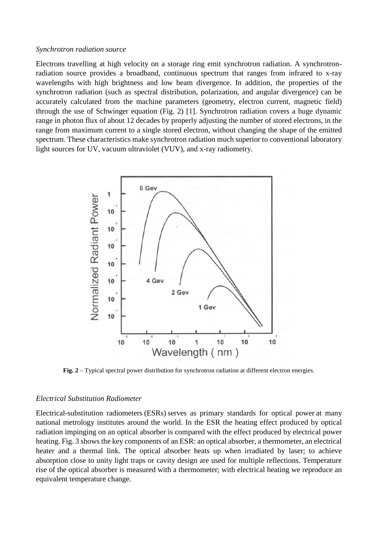#### *Synchrotron radiation source*

Electrons travelling at high velocity on a storage ring emit synchrotron radiation. A synchrotronradiation source provides a broadband, continuous spectrum that ranges from infrared to x-ray wavelengths with high brightness and low beam divergence. In addition, the properties of the synchrotron radiation (such as spectral distribution, polarization, and angular divergence) can be accurately calculated from the machine parameters (geometry, electron current, magnetic field) through the use of Schwinger equation (Fig. 2) [1]. Synchrotron radiation covers a huge dynamic range in photon flux of about 12 decades by properly adjusting the number of stored electrons, in the range from maximum current to a single stored electron, without changing the shape of the emitted spectrum. These characteristics make synchrotron radiation much superior to conventional laboratory light sources for UV, vacuum ultraviolet (VUV), and x-ray radiometry.



**Fig. 2** – Typical spectral power distribution for synchrotron radiation at different electron energies.

#### *Electrical Substitution Radiometer*

Electrical-substitution radiometers (ESRs) serves as primary standards for optical power at many national metrology institutes around the world. In the ESR the heating effect produced by optical radiation impinging on an optical absorber is compared with the effect produced by electrical power heating. Fig. 3 shows the key components of an ESR: an optical absorber, a thermometer, an electrical heater and a thermal link. The optical absorber heats up when irradiated by laser; to achieve absorption close to unity light traps or cavity design are used for multiple reflections. Temperature rise of the optical absorber is measured with a thermometer; with electrical heating we reproduce an equivalent temperature change.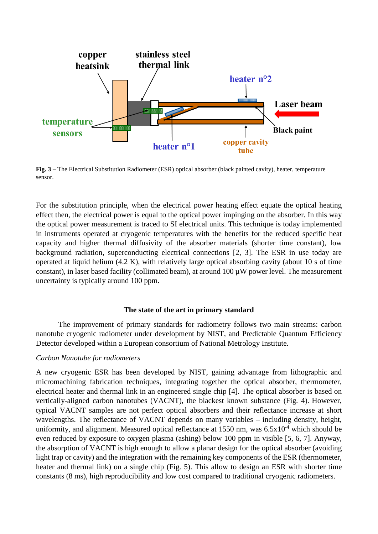

**Fig. 3** – The Electrical Substitution Radiometer (ESR) optical absorber (black painted cavity), heater, temperature sensor.

For the substitution principle, when the electrical power heating effect equate the optical heating effect then, the electrical power is equal to the optical power impinging on the absorber. In this way the optical power measurement is traced to SI electrical units. This technique is today implemented in instruments operated at cryogenic temperatures with the benefits for the reduced specific heat capacity and higher thermal diffusivity of the absorber materials (shorter time constant), low background radiation, superconducting electrical connections [2, 3]. The ESR in use today are operated at liquid helium (4.2 K), with relatively large optical absorbing cavity (about 10 s of time constant), in laser based facility (collimated beam), at around  $100 \mu W$  power level. The measurement uncertainty is typically around 100 ppm.

#### **The state of the art in primary standard**

The improvement of primary standards for radiometry follows two main streams: carbon nanotube cryogenic radiometer under development by NIST, and Predictable Quantum Efficiency Detector developed within a European consortium of National Metrology Institute.

#### *Carbon Nanotube for radiometers*

A new cryogenic ESR has been developed by NIST, gaining advantage from lithographic and micromachining fabrication techniques, integrating together the optical absorber, thermometer, electrical heater and thermal link in an engineered single chip [4]. The optical absorber is based on vertically-aligned carbon nanotubes (VACNT), the blackest known substance (Fig. 4). However, typical VACNT samples are not perfect optical absorbers and their reflectance increase at short wavelengths. The reflectance of VACNT depends on many variables – including density, height, uniformity, and alignment. Measured optical reflectance at  $1550$  nm, was  $6.5x10^{-4}$  which should be even reduced by exposure to oxygen plasma (ashing) below 100 ppm in visible [5, 6, 7]. Anyway, the absorption of VACNT is high enough to allow a planar design for the optical absorber (avoiding light trap or cavity) and the integration with the remaining key components of the ESR (thermometer, heater and thermal link) on a single chip (Fig. 5). This allow to design an ESR with shorter time constants (8 ms), high reproducibility and low cost compared to traditional cryogenic radiometers.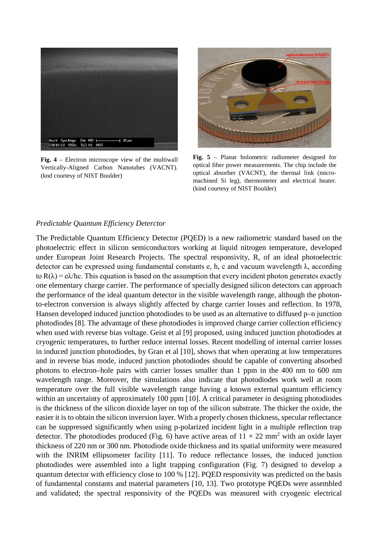

**Fig. 4** – Electron microscope view of the multiwall Vertically-Aligned Carbon Nanotubes (VACNT). (knd courtesy of NIST Boulder)



**Fig. 5** – Planar bolometric radiometer designed for optical fiber power measurements. The chip include the optical absorber (VACNT), the thermal link (micromachined Si leg), thermometer and electrical heater. (kind courtesy of NIST Boulder)

# *Predictable Quantum Efficiency Deterctor*

The Predictable Quantum Efficiency Detector (PQED) is a new radiometric standard based on the photoelectric effect in silicon semiconductors working at liquid nitrogen temperature, developed under European Joint Research Projects. The spectral responsivity, R, of an ideal photoelectric detector can be expressed using fundamental constants e, h, c and vacuum wavelength λ, according to  $R(\lambda) = e\lambda$ /hc. This equation is based on the assumption that every incident photon generates exactly one elementary charge carrier. The performance of specially designed silicon detectors can approach the performance of the ideal quantum detector in the visible wavelength range, although the photonto-electron conversion is always slightly affected by charge carrier losses and reflection. In 1978, Hansen developed induced junction photodiodes to be used as an alternative to diffused p–n junction photodiodes [8]. The advantage of these photodiodes is improved charge carrier collection efficiency when used with reverse bias voltage. Geist et al [9] proposed, using induced junction photodiodes at cryogenic temperatures, to further reduce internal losses. Recent modelling of internal carrier losses in induced junction photodiodes, by Gran et al [10], shows that when operating at low temperatures and in reverse bias mode, induced junction photodiodes should be capable of converting absorbed photons to electron–hole pairs with carrier losses smaller than 1 ppm in the 400 nm to 600 nm wavelength range. Moreover, the simulations also indicate that photodiodes work well at room temperature over the full visible wavelength range having a known external quantum efficiency within an uncertainty of approximately 100 ppm [10]. A critical parameter in designing photodiodes is the thickness of the silicon dioxide layer on top of the silicon substrate. The thicker the oxide, the easier it is to obtain the silicon inversion layer. With a properly chosen thickness, specular reflectance can be suppressed significantly when using p-polarized incident light in a multiple reflection trap detector. The photodiodes produced (Fig. 6) have active areas of  $11 \times 22$  mm<sup>2</sup> with an oxide layer thickness of 220 nm or 300 nm. Photodiode oxide thickness and its spatial uniformity were measured with the INRIM ellipsometer facility [11]. To reduce reflectance losses, the induced junction photodiodes were assembled into a light trapping configuration (Fig. 7) designed to develop a quantum detector with efficiency close to 100 % [12]. PQED responsivity was predicted on the basis of fundamental constants and material parameters [10, 13]. Two prototype PQEDs were assembled and validated; the spectral responsivity of the PQEDs was measured with cryogenic electrical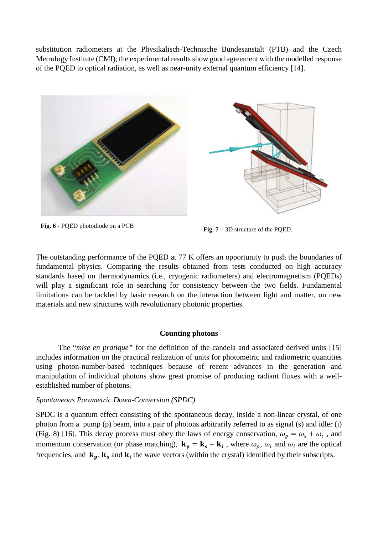substitution radiometers at the Physikalisch-Technische Bundesanstalt (PTB) and the Czech Metrology Institute (CMI); the experimental results show good agreement with the modelled response of the PQED to optical radiation, as well as near-unity external quantum efficiency [14].





**Fig. 6** - PQED photodiode on a PCB **Fig. 7** – 3D structure of the PQED.

The outstanding performance of the PQED at 77 K offers an opportunity to push the boundaries of fundamental physics. Comparing the results obtained from tests conducted on high accuracy standards based on thermodynamics (i.e., cryogenic radiometers) and electromagnetism (PQEDs) will play a significant role in searching for consistency between the two fields. Fundamental limitations can be tackled by basic research on the interaction between light and matter, on new materials and new structures with revolutionary photonic properties.

## **Counting photons**

The "*mise en pratique"* for the definition of the candela and associated derived units [15] includes information on the practical realization of units for photometric and radiometric quantities using photon-number-based techniques because of recent advances in the generation and manipulation of individual photons show great promise of producing radiant fluxes with a wellestablished number of photons.

## *Spontaneous Parametric Down-Conversion (SPDC)*

SPDC is a quantum effect consisting of the spontaneous decay, inside a non-linear crystal, of one photon from a pump (p) beam, into a pair of photons arbitrarily referred to as signal (s) and idler (i) (Fig. 8) [16]. This decay process must obey the laws of energy conservation,  $\omega_p = \omega_s + \omega_i$ , and momentum conservation (or phase matching),  $\mathbf{k}_p = \mathbf{k}_s + \mathbf{k}_i$ , where  $\omega_p$ ,  $\omega_i$  and  $\omega_i$  are the optical frequencies, and  $\mathbf{k}_p$ ,  $\mathbf{k}_s$  and  $\mathbf{k}_i$  the wave vectors (within the crystal) identified by their subscripts.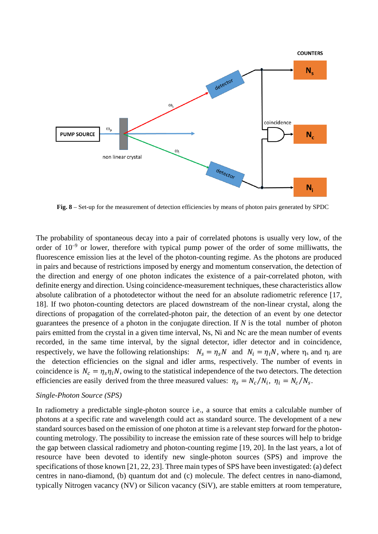

**Fig. 8** – Set-up for the measurement of detection efficiencies by means of photon pairs generated by SPDC

The probability of spontaneous decay into a pair of correlated photons is usually very low, of the order of  $10^{-9}$  or lower, therefore with typical pump power of the order of some milliwatts, the fluorescence emission lies at the level of the photon-counting regime. As the photons are produced in pairs and because of restrictions imposed by energy and momentum conservation, the detection of the direction and energy of one photon indicates the existence of a pair-correlated photon, with definite energy and direction. Using coincidence-measurement techniques, these characteristics allow absolute calibration of a photodetector without the need for an absolute radiometric reference [17, 18]. If two photon-counting detectors are placed downstream of the non-linear crystal, along the directions of propagation of the correlated-photon pair, the detection of an event by one detector guarantees the presence of a photon in the conjugate direction. If *N* is the total number of photon pairs emitted from the crystal in a given time interval, Ns, Ni and Nc are the mean number of events recorded, in the same time interval, by the signal detector, idler detector and in coincidence, respectively, we have the following relationships:  $N_s = \eta_s N$  and  $N_i = \eta_i N$ , where  $\eta_s$  and  $\eta_i$  are the detection efficiencies on the signal and idler arms, respectively. The number of events in coincidence is  $N_c = \eta_s \eta_i N$ , owing to the statistical independence of the two detectors. The detection efficiencies are easily derived from the three measured values:  $\eta_s = N_c/N_i$ ,  $\eta_i = N_c/N_s$ .

#### *Single-Photon Source (SPS)*

In radiometry a predictable single-photon source i.e., a source that emits a calculable number of photons at a specific rate and wavelength could act as standard source. The development of a new standard sources based on the emission of one photon at time is a relevant step forward for the photoncounting metrology. The possibility to increase the emission rate of these sources will help to bridge the gap between classical radiometry and photon-counting regime [19, 20]. In the last years, a lot of resource have been devoted to identify new single-photon sources (SPS) and improve the specifications of those known [21, 22, 23]. Three main types of SPS have been investigated: (a) defect centres in nano-diamond, (b) quantum dot and (c) molecule. The defect centres in nano-diamond, typically Nitrogen vacancy (NV) or Silicon vacancy (SiV), are stable emitters at room temperature,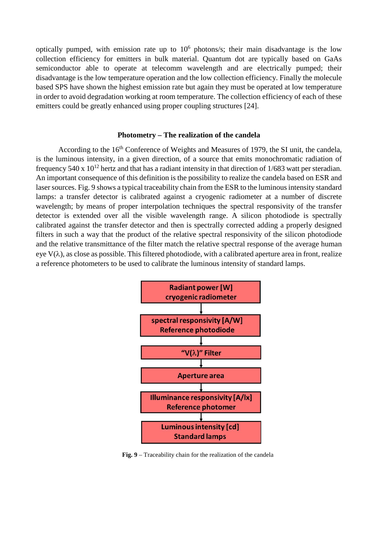optically pumped, with emission rate up to  $10<sup>6</sup>$  photons/s; their main disadvantage is the low collection efficiency for emitters in bulk material. Quantum dot are typically based on GaAs semiconductor able to operate at telecomm wavelength and are electrically pumped; their disadvantage is the low temperature operation and the low collection efficiency. Finally the molecule based SPS have shown the highest emission rate but again they must be operated at low temperature in order to avoid degradation working at room temperature. The collection efficiency of each of these emitters could be greatly enhanced using proper coupling structures [24].

#### **Photometry – The realization of the candela**

According to the 16<sup>th</sup> Conference of Weights and Measures of 1979, the SI unit, the candela, is the luminous intensity, in a given direction, of a source that emits monochromatic radiation of frequency 540 x  $10^{12}$  hertz and that has a radiant intensity in that direction of 1/683 watt per steradian. An important consequence of this definition is the possibility to realize the candela based on ESR and laser sources. Fig. 9 shows a typical traceability chain from the ESR to the luminous intensity standard lamps: a transfer detector is calibrated against a cryogenic radiometer at a number of discrete wavelength; by means of proper interpolation techniques the spectral responsivity of the transfer detector is extended over all the visible wavelength range. A silicon photodiode is spectrally calibrated against the transfer detector and then is spectrally corrected adding a properly designed filters in such a way that the product of the relative spectral responsivity of the silicon photodiode and the relative transmittance of the filter match the relative spectral response of the average human eve  $V(\lambda)$ , as close as possible. This filtered photodiode, with a calibrated aperture area in front, realize a reference photometers to be used to calibrate the luminous intensity of standard lamps.



**Fig. 9** – Traceability chain for the realization of the candela